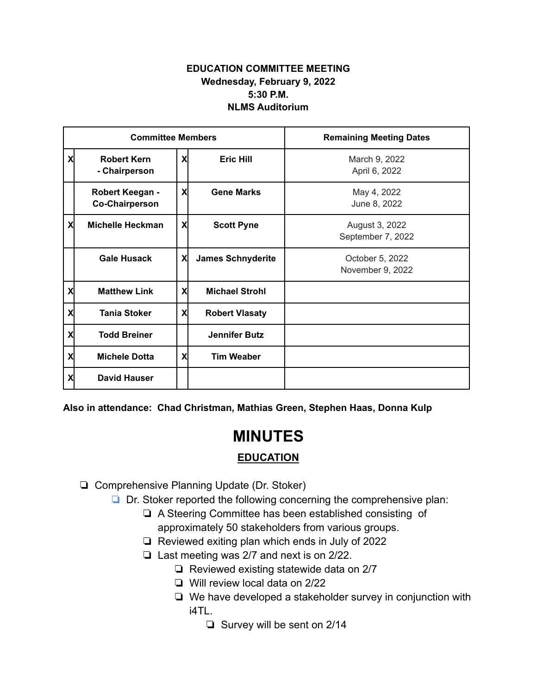## **EDUCATION COMMITTEE MEETING Wednesday, February 9, 2022 5:30 P.M. NLMS Auditorium**

| <b>Committee Members</b> |                                          |    |                          | <b>Remaining Meeting Dates</b>      |
|--------------------------|------------------------------------------|----|--------------------------|-------------------------------------|
| X                        | <b>Robert Kern</b><br>- Chairperson      | X  | <b>Eric Hill</b>         | March 9, 2022<br>April 6, 2022      |
|                          | Robert Keegan -<br><b>Co-Chairperson</b> | X  | <b>Gene Marks</b>        | May 4, 2022<br>June 8, 2022         |
| X                        | <b>Michelle Heckman</b>                  | X  | <b>Scott Pyne</b>        | August 3, 2022<br>September 7, 2022 |
|                          | <b>Gale Husack</b>                       | X  | <b>James Schnyderite</b> | October 5, 2022<br>November 9, 2022 |
| X                        | <b>Matthew Link</b>                      | X  | <b>Michael Strohl</b>    |                                     |
| X                        | <b>Tania Stoker</b>                      | Χl | <b>Robert Vlasaty</b>    |                                     |
| X                        | <b>Todd Breiner</b>                      |    | <b>Jennifer Butz</b>     |                                     |
| X                        | <b>Michele Dotta</b>                     | X  | <b>Tim Weaber</b>        |                                     |
| X                        | <b>David Hauser</b>                      |    |                          |                                     |

**Also in attendance: Chad Christman, Mathias Green, Stephen Haas, Donna Kulp**

## **MINUTES**

## **EDUCATION**

❏ Comprehensive Planning Update (Dr. Stoker)

❏ Dr. Stoker reported the following concerning the comprehensive plan:

- ❏ A Steering Committee has been established consisting of approximately 50 stakeholders from various groups.
- ❏ Reviewed exiting plan which ends in July of 2022
- ❏ Last meeting was 2/7 and next is on 2/22.
	- ❏ Reviewed existing statewide data on 2/7
	- ❏ Will review local data on 2/22
	- ❏ We have developed a stakeholder survey in conjunction with i4TL.
		- ❏ Survey will be sent on 2/14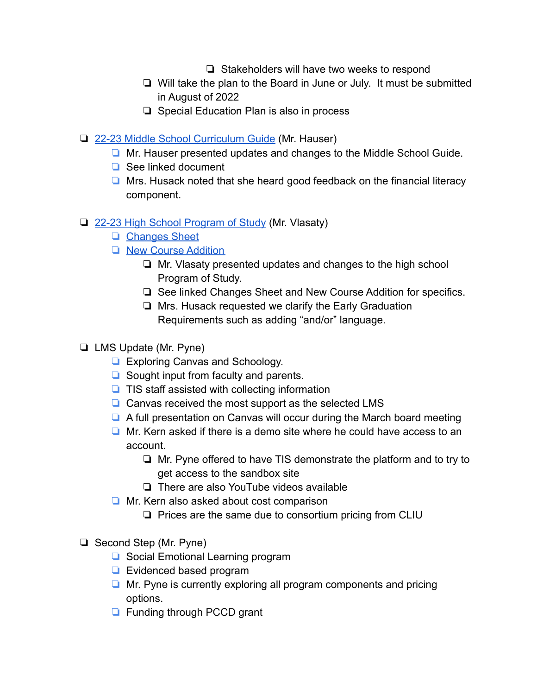- ❏ Stakeholders will have two weeks to respond
- ❏ Will take the plan to the Board in June or July. It must be submitted in August of 2022
- ❏ Special Education Plan is also in process
- ❏ [22-23 Middle School Curriculum Guide](https://drive.google.com/file/d/1DKg8TDrvDUobacJ-8j0sJ8liL-B439e8/view?usp=sharing) (Mr. Hauser)
	- ❏ Mr. Hauser presented updates and changes to the Middle School Guide.
	- ❏ See linked document
	- ❏ Mrs. Husack noted that she heard good feedback on the financial literacy component.
- ❏ [22-23 High School Program of Study](https://drive.google.com/file/d/1cjfSWdB1OTjE3AYW72V9A5GIq4CKgcdc/view?usp=sharing) (Mr. Vlasaty)
	- ❏ [Changes Sheet](https://drive.google.com/file/d/1zYgKludDOwBSvHm0fZrqk3KeQ1MQwBBb/view?usp=sharing)
	- ❏ [New Course Addition](https://drive.google.com/file/d/11WTN0jsGRn-sm0VSlPvOl8qUlx2ZNh7H/view?usp=sharing)
		- ❏ Mr. Vlasaty presented updates and changes to the high school Program of Study.
		- ❏ See linked Changes Sheet and New Course Addition for specifics.
		- ❏ Mrs. Husack requested we clarify the Early Graduation Requirements such as adding "and/or" language.
- ❏ LMS Update (Mr. Pyne)
	- ❏ Exploring Canvas and Schoology.
	- ❏ Sought input from faculty and parents.
	- ❏ TIS staff assisted with collecting information
	- ❏ Canvas received the most support as the selected LMS
	- ❏ A full presentation on Canvas will occur during the March board meeting
	- ❏ Mr. Kern asked if there is a demo site where he could have access to an account.
		- ❏ Mr. Pyne offered to have TIS demonstrate the platform and to try to get access to the sandbox site
		- ❏ There are also YouTube videos available
	- ❏ Mr. Kern also asked about cost comparison
		- ❏ Prices are the same due to consortium pricing from CLIU
- ❏ Second Step (Mr. Pyne)
	- ❏ Social Emotional Learning program
	- ❏ Evidenced based program
	- ❏ Mr. Pyne is currently exploring all program components and pricing options.
	- ❏ Funding through PCCD grant